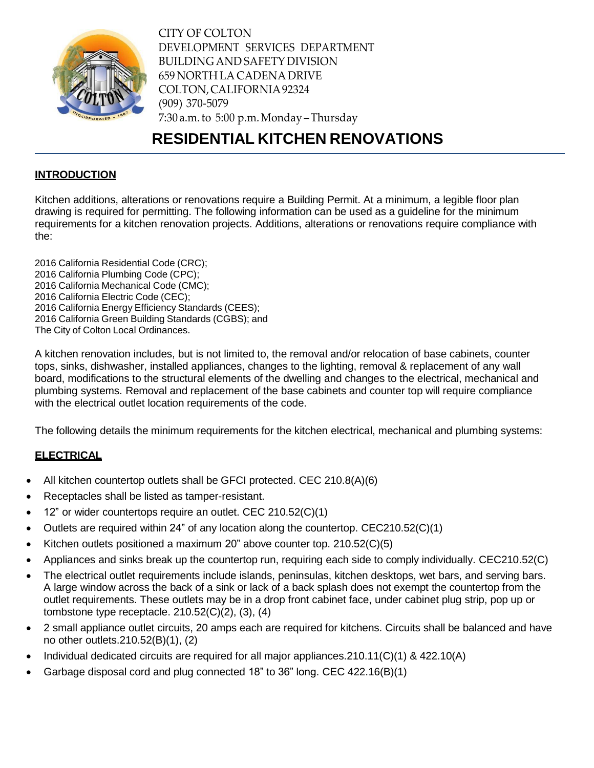

CITY OF COLTON DEVELOPMENT SERVICES DEPARTMENT BUILDING AND SAFETY DIVISION 659 NORTH LA CADENA DRIVE COLTON,CALIFORNIA92324 (909) 370-5079 7:30 a.m. to 5:00 p.m. Monday – Thursday

# **RESIDENTIAL KITCHEN RENOVATIONS**

## **INTRODUCTION**

Kitchen additions, alterations or renovations require a Building Permit. At a minimum, a legible floor plan drawing is required for permitting. The following information can be used as a guideline for the minimum requirements for a kitchen renovation projects. Additions, alterations or renovations require compliance with the:

 California Residential Code (CRC); California Plumbing Code (CPC); California Mechanical Code (CMC); California Electric Code (CEC); California Energy Efficiency Standards (CEES); California Green Building Standards (CGBS); and The City of Colton Local Ordinances.

A kitchen renovation includes, but is not limited to, the removal and/or relocation of base cabinets, counter tops, sinks, dishwasher, installed appliances, changes to the lighting, removal & replacement of any wall board, modifications to the structural elements of the dwelling and changes to the electrical, mechanical and plumbing systems. Removal and replacement of the base cabinets and counter top will require compliance with the electrical outlet location requirements of the code.

The following details the minimum requirements for the kitchen electrical, mechanical and plumbing systems:

# **ELECTRICAL**

- All kitchen countertop outlets shall be GFCI protected. CEC 210.8(A)(6)
- Receptacles shall be listed as tamper-resistant.
- 12" or wider countertops require an outlet. CEC 210.52(C)(1)
- Outlets are required within 24" of any location along the countertop. CEC210.52(C)(1)
- Kitchen outlets positioned a maximum 20" above counter top. 210.52(C)(5)
- Appliances and sinks break up the countertop run, requiring each side to comply individually. CEC210.52(C)
- The electrical outlet requirements include islands, peninsulas, kitchen desktops, wet bars, and serving bars. A large window across the back of a sink or lack of a back splash does not exempt the countertop from the outlet requirements. These outlets may be in a drop front cabinet face, under cabinet plug strip, pop up or tombstone type receptacle.  $210.52(C)(2)$ ,  $(3)$ ,  $(4)$
- 2 small appliance outlet circuits, 20 amps each are required for kitchens. Circuits shall be balanced and have no other outlets.210.52(B)(1), (2)
- Individual dedicated circuits are required for all major appliances.210.11(C)(1) & 422.10(A)
- Garbage disposal cord and plug connected 18" to 36" long. CEC 422.16(B)(1)